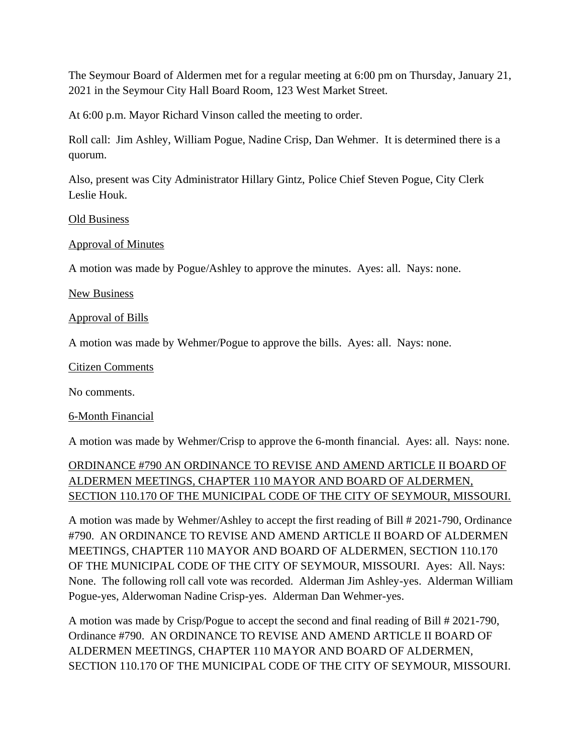The Seymour Board of Aldermen met for a regular meeting at 6:00 pm on Thursday, January 21, 2021 in the Seymour City Hall Board Room, 123 West Market Street.

At 6:00 p.m. Mayor Richard Vinson called the meeting to order.

Roll call: Jim Ashley, William Pogue, Nadine Crisp, Dan Wehmer. It is determined there is a quorum.

Also, present was City Administrator Hillary Gintz, Police Chief Steven Pogue, City Clerk Leslie Houk.

## Old Business

# Approval of Minutes

A motion was made by Pogue/Ashley to approve the minutes. Ayes: all. Nays: none.

## New Business

## Approval of Bills

A motion was made by Wehmer/Pogue to approve the bills. Ayes: all. Nays: none.

#### Citizen Comments

No comments.

# 6-Month Financial

A motion was made by Wehmer/Crisp to approve the 6-month financial. Ayes: all. Nays: none.

# ORDINANCE #790 AN ORDINANCE TO REVISE AND AMEND ARTICLE II BOARD OF ALDERMEN MEETINGS, CHAPTER 110 MAYOR AND BOARD OF ALDERMEN, SECTION 110.170 OF THE MUNICIPAL CODE OF THE CITY OF SEYMOUR, MISSOURI.

A motion was made by Wehmer/Ashley to accept the first reading of Bill # 2021-790, Ordinance #790. AN ORDINANCE TO REVISE AND AMEND ARTICLE II BOARD OF ALDERMEN MEETINGS, CHAPTER 110 MAYOR AND BOARD OF ALDERMEN, SECTION 110.170 OF THE MUNICIPAL CODE OF THE CITY OF SEYMOUR, MISSOURI. Ayes: All. Nays: None. The following roll call vote was recorded. Alderman Jim Ashley-yes. Alderman William Pogue-yes, Alderwoman Nadine Crisp-yes. Alderman Dan Wehmer-yes.

A motion was made by Crisp/Pogue to accept the second and final reading of Bill # 2021-790, Ordinance #790. AN ORDINANCE TO REVISE AND AMEND ARTICLE II BOARD OF ALDERMEN MEETINGS, CHAPTER 110 MAYOR AND BOARD OF ALDERMEN, SECTION 110.170 OF THE MUNICIPAL CODE OF THE CITY OF SEYMOUR, MISSOURI.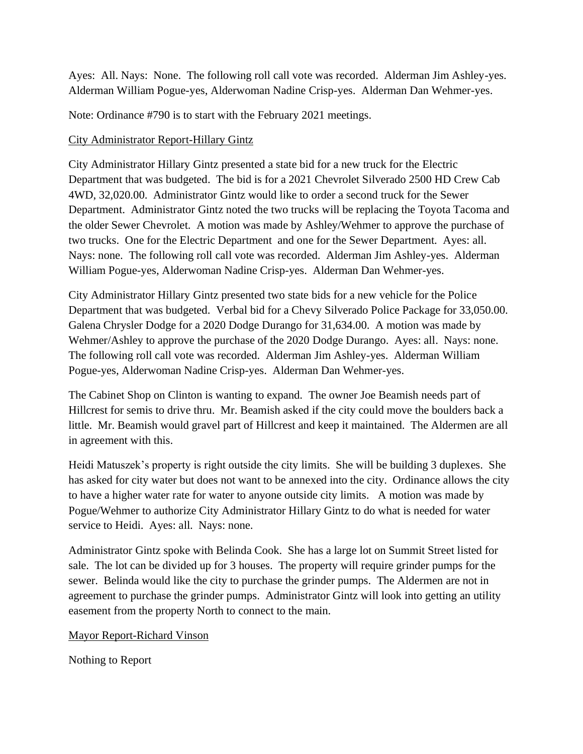Ayes: All. Nays: None. The following roll call vote was recorded. Alderman Jim Ashley-yes. Alderman William Pogue-yes, Alderwoman Nadine Crisp-yes. Alderman Dan Wehmer-yes.

Note: Ordinance #790 is to start with the February 2021 meetings.

## City Administrator Report-Hillary Gintz

City Administrator Hillary Gintz presented a state bid for a new truck for the Electric Department that was budgeted. The bid is for a 2021 Chevrolet Silverado 2500 HD Crew Cab 4WD, 32,020.00. Administrator Gintz would like to order a second truck for the Sewer Department. Administrator Gintz noted the two trucks will be replacing the Toyota Tacoma and the older Sewer Chevrolet. A motion was made by Ashley/Wehmer to approve the purchase of two trucks. One for the Electric Department and one for the Sewer Department. Ayes: all. Nays: none. The following roll call vote was recorded. Alderman Jim Ashley-yes. Alderman William Pogue-yes, Alderwoman Nadine Crisp-yes. Alderman Dan Wehmer-yes.

City Administrator Hillary Gintz presented two state bids for a new vehicle for the Police Department that was budgeted. Verbal bid for a Chevy Silverado Police Package for 33,050.00. Galena Chrysler Dodge for a 2020 Dodge Durango for 31,634.00. A motion was made by Wehmer/Ashley to approve the purchase of the 2020 Dodge Durango. Ayes: all. Nays: none. The following roll call vote was recorded. Alderman Jim Ashley-yes. Alderman William Pogue-yes, Alderwoman Nadine Crisp-yes. Alderman Dan Wehmer-yes.

The Cabinet Shop on Clinton is wanting to expand. The owner Joe Beamish needs part of Hillcrest for semis to drive thru. Mr. Beamish asked if the city could move the boulders back a little. Mr. Beamish would gravel part of Hillcrest and keep it maintained. The Aldermen are all in agreement with this.

Heidi Matuszek's property is right outside the city limits. She will be building 3 duplexes. She has asked for city water but does not want to be annexed into the city. Ordinance allows the city to have a higher water rate for water to anyone outside city limits. A motion was made by Pogue/Wehmer to authorize City Administrator Hillary Gintz to do what is needed for water service to Heidi. Ayes: all. Nays: none.

Administrator Gintz spoke with Belinda Cook. She has a large lot on Summit Street listed for sale. The lot can be divided up for 3 houses. The property will require grinder pumps for the sewer. Belinda would like the city to purchase the grinder pumps. The Aldermen are not in agreement to purchase the grinder pumps. Administrator Gintz will look into getting an utility easement from the property North to connect to the main.

Mayor Report-Richard Vinson

Nothing to Report